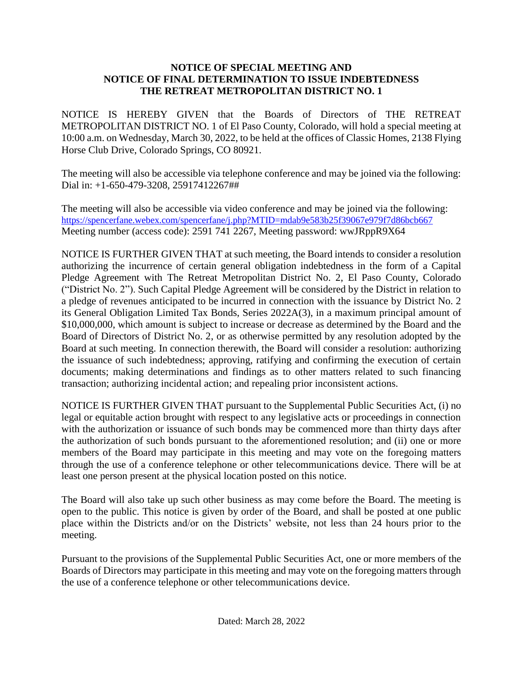## **NOTICE OF SPECIAL MEETING AND NOTICE OF FINAL DETERMINATION TO ISSUE INDEBTEDNESS THE RETREAT METROPOLITAN DISTRICT NO. 1**

NOTICE IS HEREBY GIVEN that the Boards of Directors of THE RETREAT METROPOLITAN DISTRICT NO. 1 of El Paso County, Colorado, will hold a special meeting at 10:00 a.m. on Wednesday, March 30, 2022, to be held at the offices of Classic Homes, 2138 Flying Horse Club Drive, Colorado Springs, CO 80921.

The meeting will also be accessible via telephone conference and may be joined via the following: Dial in: +1-650-479-3208, 25917412267##

The meeting will also be accessible via video conference and may be joined via the following: <https://spencerfane.webex.com/spencerfane/j.php?MTID=mdab9e583b25f39067e979f7d86bcb667> Meeting number (access code): 2591 741 2267, Meeting password: wwJRppR9X64

NOTICE IS FURTHER GIVEN THAT at such meeting, the Board intends to consider a resolution authorizing the incurrence of certain general obligation indebtedness in the form of a Capital Pledge Agreement with The Retreat Metropolitan District No. 2, El Paso County, Colorado ("District No. 2"). Such Capital Pledge Agreement will be considered by the District in relation to a pledge of revenues anticipated to be incurred in connection with the issuance by District No. 2 its General Obligation Limited Tax Bonds, Series 2022A(3), in a maximum principal amount of \$10,000,000, which amount is subject to increase or decrease as determined by the Board and the Board of Directors of District No. 2, or as otherwise permitted by any resolution adopted by the Board at such meeting. In connection therewith, the Board will consider a resolution: authorizing the issuance of such indebtedness; approving, ratifying and confirming the execution of certain documents; making determinations and findings as to other matters related to such financing transaction; authorizing incidental action; and repealing prior inconsistent actions.

NOTICE IS FURTHER GIVEN THAT pursuant to the Supplemental Public Securities Act, (i) no legal or equitable action brought with respect to any legislative acts or proceedings in connection with the authorization or issuance of such bonds may be commenced more than thirty days after the authorization of such bonds pursuant to the aforementioned resolution; and (ii) one or more members of the Board may participate in this meeting and may vote on the foregoing matters through the use of a conference telephone or other telecommunications device. There will be at least one person present at the physical location posted on this notice.

The Board will also take up such other business as may come before the Board. The meeting is open to the public. This notice is given by order of the Board, and shall be posted at one public place within the Districts and/or on the Districts' website, not less than 24 hours prior to the meeting.

Pursuant to the provisions of the Supplemental Public Securities Act, one or more members of the Boards of Directors may participate in this meeting and may vote on the foregoing matters through the use of a conference telephone or other telecommunications device.